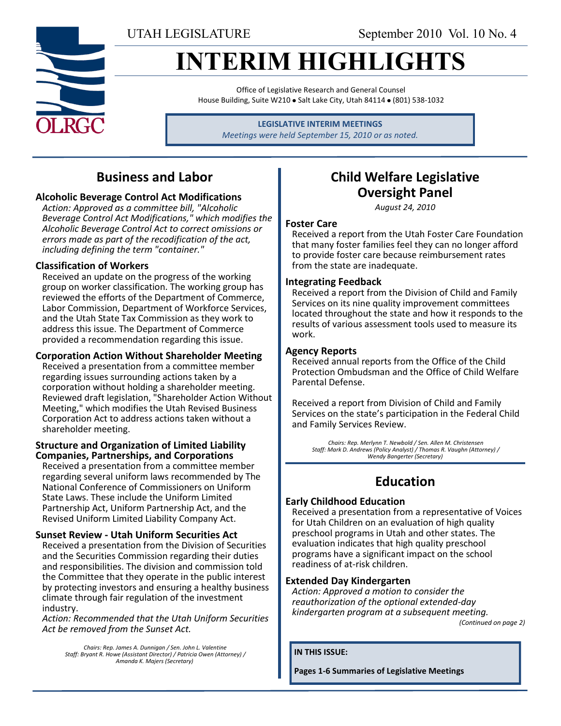# **INTERIM HIGHLIGHTS**

Office of Legislative Research and General Counsel House Building, Suite W210 · Salt Lake City, Utah 84114 · (801) 538-1032

> **LEGISLATIVE INTERIM MEETINGS** *Meetings were held September 15, 2010 or as noted.*

# **Business and Labor**

### **Alcoholic Beverage Control Act Modifications**

*Action: Approved as a committee bill, "Alcoholic Beverage Control Act Modifications," which modifies the Alcoholic Beverage Control Act to correct omissions or errors made as part of the recodification of the act, including defining the term "container."*

### **Classification of Workers**

Received an update on the progress of the working group on worker classification. The working group has reviewed the efforts of the Department of Commerce, Labor Commission, Department of Workforce Services, and the Utah State Tax Commission as they work to address this issue. The Department of Commerce provided a recommendation regarding this issue.

### **Corporation Action Without Shareholder Meeting**

Received a presentation from a committee member regarding issues surrounding actions taken by a corporation without holding a shareholder meeting. Reviewed draft legislation, "Shareholder Action Without Meeting," which modifies the Utah Revised Business Corporation Act to address actions taken without a shareholder meeting.

### **Structure and Organization of Limited Liability Companies, Partnerships, and Corporations**

Received a presentation from a committee member regarding several uniform laws recommended by The National Conference of Commissioners on Uniform State Laws. These include the Uniform Limited Partnership Act, Uniform Partnership Act, and the Revised Uniform Limited Liability Company Act.

### **Sunset Review - Utah Uniform Securities Act**

Received a presentation from the Division of Securities and the Securities Commission regarding their duties and responsibilities. The division and commission told the Committee that they operate in the public interest by protecting investors and ensuring a healthy business climate through fair regulation of the investment industry.

*Action: Recommended that the Utah Uniform Securities Act be removed from the Sunset Act.*

*Chairs: Rep. James A. Dunnigan / Sen. John L. Valentine Staff: Bryant R. Howe (Assistant Director) / Patricia Owen (Attorney) / Amanda K. Majers (Secretary)*

# **Child Welfare Legislative Oversight Panel**

*August 24, 2010*

### **Foster Care**

Received a report from the Utah Foster Care Foundation that many foster families feel they can no longer afford to provide foster care because reimbursement rates from the state are inadequate.

### **Integrating Feedback**

Received a report from the Division of Child and Family Services on its nine quality improvement committees located throughout the state and how it responds to the results of various assessment tools used to measure its work.

### **Agency Reports**

Received annual reports from the Office of the Child Protection Ombudsman and the Office of Child Welfare Parental Defense.

Received a report from Division of Child and Family Services on the state's participation in the Federal Child and Family Services Review.

*Chairs: Rep. Merlynn T. Newbold / Sen. Allen M. Christensen Staff: Mark D. Andrews (Policy Analyst) / Thomas R. Vaughn (Attorney) / Wendy Bangerter (Secretary)*

# **Education**

### **Early Childhood Education**

Received a presentation from a representative of Voices for Utah Children on an evaluation of high quality preschool programs in Utah and other states. The evaluation indicates that high quality preschool programs have a significant impact on the school readiness of at-risk children.

### **Extended Day Kindergarten**

*Action: Approved a motion to consider the reauthorization of the optional extended-day kindergarten program at a subsequent meeting.*

*(Continued on page 2)*

**IN THIS ISSUE:**

**Pages 1-6 Summaries of Legislative Meetings**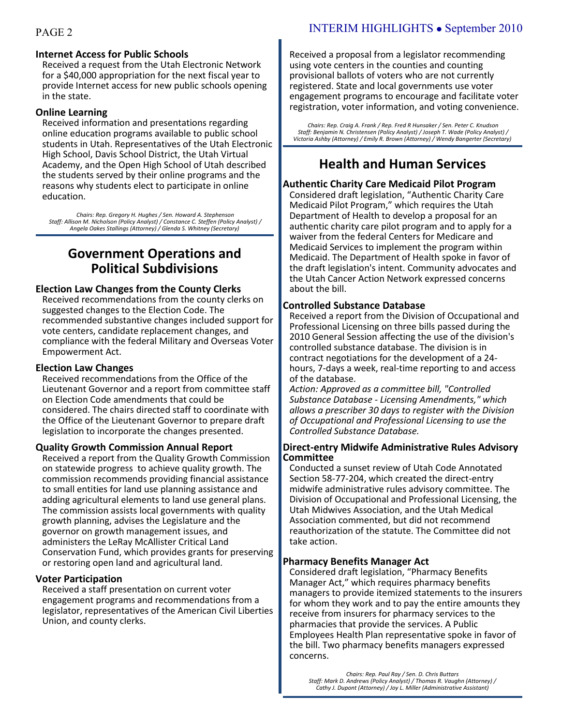### **Internet Access for Public Schools**

Received a request from the Utah Electronic Network for a \$40,000 appropriation for the next fiscal year to provide Internet access for new public schools opening in the state.

#### **Online Learning**

Received information and presentations regarding online education programs available to public school students in Utah. Representatives of the Utah Electronic High School, Davis School District, the Utah Virtual Academy, and the Open High School of Utah described the students served by their online programs and the reasons why students elect to participate in online education.

Chairs: Rep. Gregory H. Hughes / Sen. Howard A. Stephenson<br>/ Staff: Allison M. Nicholson (Policy Analyst) / Constance C. Steffen (Policy Analyst)<br>Angela Oakes Stallings (Attorney) / Glenda S. Whitney (Secretary)

# **Government Operations and Political Subdivisions**

### **Election Law Changes from the County Clerks**

Received recommendations from the county clerks on suggested changes to the Election Code. The recommended substantive changes included support for vote centers, candidate replacement changes, and compliance with the federal Military and Overseas Voter Empowerment Act.

### **Election Law Changes**

Received recommendations from the Office of the Lieutenant Governor and a report from committee staff on Election Code amendments that could be considered. The chairs directed staff to coordinate with the Office of the Lieutenant Governor to prepare draft legislation to incorporate the changes presented.

#### **Quality Growth Commission Annual Report**

Received a report from the Quality Growth Commission on statewide progress to achieve quality growth. The commission recommends providing financial assistance to small entities for land use planning assistance and adding agricultural elements to land use general plans. The commission assists local governments with quality growth planning, advises the Legislature and the governor on growth management issues, and administers the LeRay McAllister Critical Land Conservation Fund, which provides grants for preserving or restoring open land and agricultural land.

#### **Voter Participation**

Received a staff presentation on current voter engagement programs and recommendations from a legislator, representatives of the American Civil Liberties Union, and county clerks.

Received a proposal from a legislator recommending using vote centers in the counties and counting provisional ballots of voters who are not currently registered. State and local governments use voter engagement programs to encourage and facilitate voter registration, voter information, and voting convenience.

*Chairs: Rep. Craig A. Frank / Rep. Fred R Hunsaker / Sen. Peter C. Knudson Staff: Benjamin N. Christensen (Policy Analyst) / Joseph T. Wade (Policy Analyst) / Victoria Ashby (Attorney) / Emily R. Brown (Attorney) / Wendy Bangerter (Secretary)*

### **Health and Human Services**

### **Authentic Charity Care Medicaid Pilot Program**

Considered draft legislation, "Authentic Charity Care Medicaid Pilot Program," which requires the Utah Department of Health to develop a proposal for an authentic charity care pilot program and to apply for a waiver from the federal Centers for Medicare and Medicaid Services to implement the program within Medicaid. The Department of Health spoke in favor of the draft legislation's intent. Community advocates and the Utah Cancer Action Network expressed concerns about the bill.

### **Controlled Substance Database**

Received a report from the Division of Occupational and Professional Licensing on three bills passed during the 2010 General Session affecting the use of the division's controlled substance database. The division is in contract negotiations for the development of a 24 hours, 7-days a week, real-time reporting to and access of the database.

*Action: Approved as a committee bill, "Controlled Substance Database - Licensing Amendments," which allows a prescriber 30 days to register with the Division of Occupational and Professional Licensing to use the Controlled Substance Database.*

#### **Direct-entry Midwife Administrative Rules Advisory Committee**

Conducted a sunset review of Utah Code Annotated Section 58-77-204, which created the direct-entry midwife administrative rules advisory committee. The Division of Occupational and Professional Licensing, the Utah Midwives Association, and the Utah Medical Association commented, but did not recommend reauthorization of the statute. The Committee did not take action.

#### **Pharmacy Benefits Manager Act**

Considered draft legislation, "Pharmacy Benefits Manager Act," which requires pharmacy benefits managers to provide itemized statements to the insurers for whom they work and to pay the entire amounts they receive from insurers for pharmacy services to the pharmacies that provide the services. A Public Employees Health Plan representative spoke in favor of the bill. Two pharmacy benefits managers expressed concerns.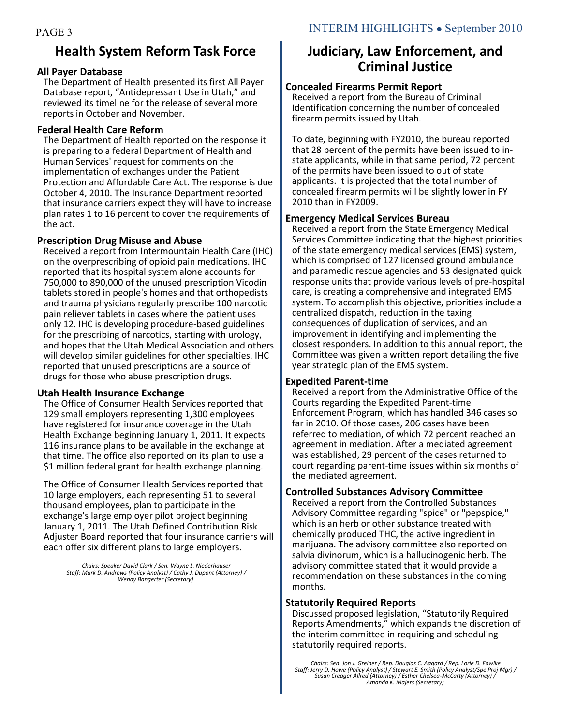# **Health System Reform Task Force**

### **All Payer Database**

The Department of Health presented its first All Payer Database report, "Antidepressant Use in Utah," and reviewed its timeline for the release of several more reports in October and November.

### **Federal Health Care Reform**

The Department of Health reported on the response it is preparing to a federal Department of Health and Human Services' request for comments on the implementation of exchanges under the Patient Protection and Affordable Care Act. The response is due October 4, 2010. The Insurance Department reported that insurance carriers expect they will have to increase plan rates 1 to 16 percent to cover the requirements of the act.

### **Prescription Drug Misuse and Abuse**

Received a report from Intermountain Health Care (IHC) on the overprescribing of opioid pain medications. IHC reported that its hospital system alone accounts for 750,000 to 890,000 of the unused prescription Vicodin tablets stored in people's homes and that orthopedists and trauma physicians regularly prescribe 100 narcotic pain reliever tablets in cases where the patient uses only 12. IHC is developing procedure-based guidelines for the prescribing of narcotics, starting with urology, and hopes that the Utah Medical Association and others will develop similar guidelines for other specialties. IHC reported that unused prescriptions are a source of drugs for those who abuse prescription drugs.

### **Utah Health Insurance Exchange**

The Office of Consumer Health Services reported that 129 small employers representing 1,300 employees have registered for insurance coverage in the Utah Health Exchange beginning January 1, 2011. It expects 116 insurance plans to be available in the exchange at that time. The office also reported on its plan to use a \$1 million federal grant for health exchange planning.

The Office of Consumer Health Services reported that 10 large employers, each representing 51 to several thousand employees, plan to participate in the exchange's large employer pilot project beginning January 1, 2011. The Utah Defined Contribution Risk Adjuster Board reported that four insurance carriers will each offer six different plans to large employers.

*Chairs: Speaker David Clark / Sen. Wayne L. Niederhauser Staff: Mark D. Andrews (Policy Analyst) / Cathy J. Dupont (Attorney) / Wendy Bangerter (Secretary)*

# **Judiciary, Law Enforcement, and Criminal Justice**

### **Concealed Firearms Permit Report**

Received a report from the Bureau of Criminal Identification concerning the number of concealed firearm permits issued by Utah.

To date, beginning with FY2010, the bureau reported that 28 percent of the permits have been issued to instate applicants, while in that same period, 72 percent of the permits have been issued to out of state applicants. It is projected that the total number of concealed firearm permits will be slightly lower in FY 2010 than in FY2009.

### **Emergency Medical Services Bureau**

Received a report from the State Emergency Medical Services Committee indicating that the highest priorities of the state emergency medical services (EMS) system, which is comprised of 127 licensed ground ambulance and paramedic rescue agencies and 53 designated quick response units that provide various levels of pre-hospital care, is creating a comprehensive and integrated EMS system. To accomplish this objective, priorities include a centralized dispatch, reduction in the taxing consequences of duplication of services, and an improvement in identifying and implementing the closest responders. In addition to this annual report, the Committee was given a written report detailing the five year strategic plan of the EMS system.

### **Expedited Parent-time**

Received a report from the Administrative Office of the Courts regarding the Expedited Parent-time Enforcement Program, which has handled 346 cases so far in 2010. Of those cases, 206 cases have been referred to mediation, of which 72 percent reached an agreement in mediation. After a mediated agreement was established, 29 percent of the cases returned to court regarding parent-time issues within six months of the mediated agreement.

### **Controlled Substances Advisory Committee**

Received a report from the Controlled Substances Advisory Committee regarding "spice" or "pepspice," which is an herb or other substance treated with chemically produced THC, the active ingredient in marijuana. The advisory committee also reported on salvia divinorum, which is a hallucinogenic herb. The advisory committee stated that it would provide a recommendation on these substances in the coming months.

### **Statutorily Required Reports**

Discussed proposed legislation, "Statutorily Required Reports Amendments," which expands the discretion of the interim committee in requiring and scheduling statutorily required reports.

*Chairs: Sen. Jon J. Greiner / Rep. Douglas C. Aagard / Rep. Lorie D. Fowlke Staff: Jerry D. Howe (Policy Analyst) / Stewart E. Smith (Policy Analyst/Spe Proj Mgr) / Susan Creager Allred (Attorney) / Esther Chelsea-McCarty (Attorney) / Amanda K. Majers (Secretary)*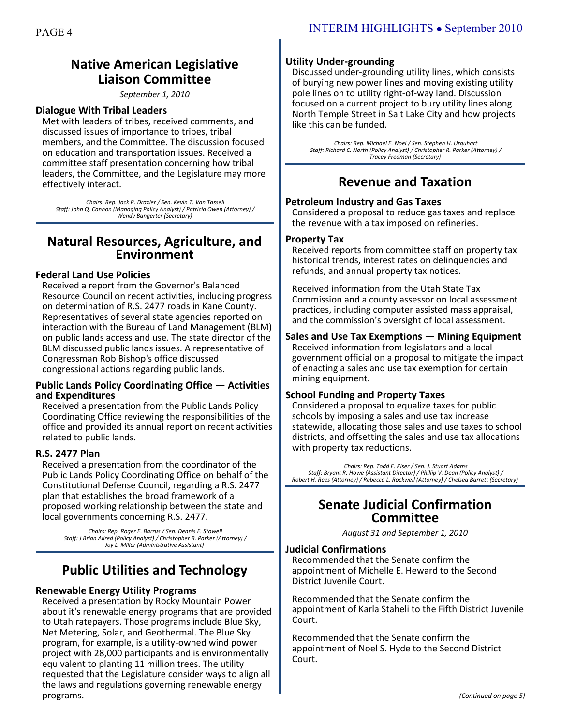# **Native American Legislative Liaison Committee**

#### *September 1, 2010*

### **Dialogue With Tribal Leaders**

Met with leaders of tribes, received comments, and discussed issues of importance to tribes, tribal members, and the Committee. The discussion focused on education and transportation issues. Received a committee staff presentation concerning how tribal leaders, the Committee, and the Legislature may more effectively interact.

*Chairs: Rep. Jack R. Draxler / Sen. Kevin T. Van Tassell Staff: John Q. Cannon (Managing Policy Analyst) / Patricia Owen (Attorney) / Wendy Bangerter (Secretary)*

### **Natural Resources, Agriculture, and Environment**

### **Federal Land Use Policies**

Received a report from the Governor's Balanced Resource Council on recent activities, including progress on determination of R.S. 2477 roads in Kane County. Representatives of several state agencies reported on interaction with the Bureau of Land Management (BLM) on public lands access and use. The state director of the BLM discussed public lands issues. A representative of Congressman Rob Bishop's office discussed congressional actions regarding public lands.

#### **Public Lands Policy Coordinating Office — Activities and Expenditures**

Received a presentation from the Public Lands Policy Coordinating Office reviewing the responsibilities of the office and provided its annual report on recent activities related to public lands.

### **R.S. 2477 Plan**

Received a presentation from the coordinator of the Public Lands Policy Coordinating Office on behalf of the Constitutional Defense Council, regarding a R.S. 2477 plan that establishes the broad framework of a proposed working relationship between the state and local governments concerning R.S. 2477.

*Chairs: Rep. Roger E. Barrus / Sen. Dennis E. Stowell Staff: J Brian Allred (Policy Analyst) / Christopher R. Parker (Attorney) / Joy L. Miller (Administrative Assistant)*

# **Public Utilities and Technology**

### **Renewable Energy Utility Programs**

Received a presentation by Rocky Mountain Power about it's renewable energy programs that are provided to Utah ratepayers. Those programs include Blue Sky, Net Metering, Solar, and Geothermal. The Blue Sky program, for example, is a utility-owned wind power project with 28,000 participants and is environmentally equivalent to planting 11 million trees. The utility requested that the Legislature consider ways to align all the laws and regulations governing renewable energy programs.

### **Utility Under-grounding**

Discussed under-grounding utility lines, which consists of burying new power lines and moving existing utility pole lines on to utility right-of-way land. Discussion focused on a current project to bury utility lines along North Temple Street in Salt Lake City and how projects like this can be funded.

*Chairs: Rep. Michael E. Noel / Sen. Stephen H. Urquhart Staff: Richard C. North (Policy Analyst) / Christopher R. Parker (Attorney) / Tracey Fredman (Secretary)*

### **Revenue and Taxation**

### **Petroleum Industry and Gas Taxes**

Considered a proposal to reduce gas taxes and replace the revenue with a tax imposed on refineries.

#### **Property Tax**

Received reports from committee staff on property tax historical trends, interest rates on delinquencies and refunds, and annual property tax notices.

Received information from the Utah State Tax Commission and a county assessor on local assessment practices, including computer assisted mass appraisal, and the commission's oversight of local assessment.

### **Sales and Use Tax Exemptions — Mining Equipment**

Received information from legislators and a local government official on a proposal to mitigate the impact of enacting a sales and use tax exemption for certain mining equipment.

### **School Funding and Property Taxes**

Considered a proposal to equalize taxes for public schools by imposing a sales and use tax increase statewide, allocating those sales and use taxes to school districts, and offsetting the sales and use tax allocations with property tax reductions.

*Chairs: Rep. Todd E. Kiser / Sen. J. Stuart Adams Staff: Bryant R. Howe (Assistant Director) / Phillip V. Dean (Policy Analyst) / Robert H. Rees (Attorney) / Rebecca L. Rockwell (Attorney) / Chelsea Barrett (Secretary)*

### **Senate Judicial Confirmation Committee**

*August 31 and September 1, 2010*

#### **Judicial Confirmations**

Recommended that the Senate confirm the appointment of Michelle E. Heward to the Second District Juvenile Court.

Recommended that the Senate confirm the appointment of Karla Staheli to the Fifth District Juvenile Court.

Recommended that the Senate confirm the appointment of Noel S. Hyde to the Second District Court.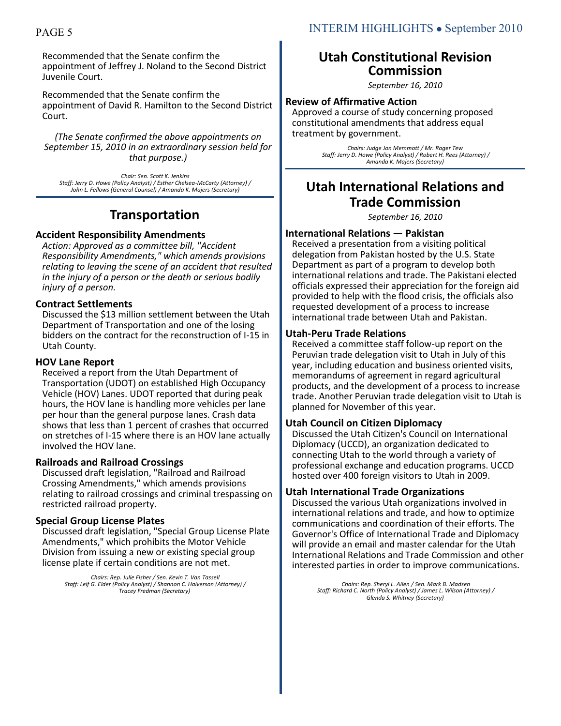Recommended that the Senate confirm the appointment of Jeffrey J. Noland to the Second District Juvenile Court.

Recommended that the Senate confirm the appointment of David R. Hamilton to the Second District Court.

*(The Senate confirmed the above appointments on September 15, 2010 in an extraordinary session held for that purpose.)*

*Chair: Sen. Scott K. Jenkins Staff: Jerry D. Howe (Policy Analyst) / Esther Chelsea-McCarty (Attorney) / John L. Fellows (General Counsel) / Amanda K. Majers (Secretary)*

## **Transportation**

### **Accident Responsibility Amendments**

*Action: Approved as a committee bill, "Accident Responsibility Amendments," which amends provisions relating to leaving the scene of an accident that resulted in the injury of a person or the death or serious bodily injury of a person.*

### **Contract Settlements**

Discussed the \$13 million settlement between the Utah Department of Transportation and one of the losing bidders on the contract for the reconstruction of I-15 in Utah County.

### **HOV Lane Report**

Received a report from the Utah Department of Transportation (UDOT) on established High Occupancy Vehicle (HOV) Lanes. UDOT reported that during peak hours, the HOV lane is handling more vehicles per lane per hour than the general purpose lanes. Crash data shows that less than 1 percent of crashes that occurred on stretches of I-15 where there is an HOV lane actually involved the HOV lane.

### **Railroads and Railroad Crossings**

Discussed draft legislation, "Railroad and Railroad Crossing Amendments," which amends provisions relating to railroad crossings and criminal trespassing on restricted railroad property.

### **Special Group License Plates**

Discussed draft legislation, "Special Group License Plate Amendments," which prohibits the Motor Vehicle Division from issuing a new or existing special group license plate if certain conditions are not met.

> *Chairs: Rep. Julie Fisher / Sen. Kevin T. Van Tassell Staff: Leif G. Elder (Policy Analyst) / Shannon C. Halverson (Attorney) / Tracey Fredman (Secretary)*

### **Utah Constitutional Revision Commission**

*September 16, 2010*

### **Review of Affirmative Action**

Approved a course of study concerning proposed constitutional amendments that address equal treatment by government.

> *Chairs: Judge Jon Memmott / Mr. Roger Tew Staff: Jerry D. Howe (Policy Analyst) / Robert H. Rees (Attorney) / Amanda K. Majers (Secretary)*

# **Utah International Relations and Trade Commission**

*September 16, 2010*

### **International Relations — Pakistan**

Received a presentation from a visiting political delegation from Pakistan hosted by the U.S. State Department as part of a program to develop both international relations and trade. The Pakistani elected officials expressed their appreciation for the foreign aid provided to help with the flood crisis, the officials also requested development of a process to increase international trade between Utah and Pakistan.

### **Utah-Peru Trade Relations**

Received a committee staff follow-up report on the Peruvian trade delegation visit to Utah in July of this year, including education and business oriented visits, memorandums of agreement in regard agricultural products, and the development of a process to increase trade. Another Peruvian trade delegation visit to Utah is planned for November of this year.

### **Utah Council on Citizen Diplomacy**

Discussed the Utah Citizen's Council on International Diplomacy (UCCD), an organization dedicated to connecting Utah to the world through a variety of professional exchange and education programs. UCCD hosted over 400 foreign visitors to Utah in 2009.

### **Utah International Trade Organizations**

Discussed the various Utah organizations involved in international relations and trade, and how to optimize communications and coordination of their efforts. The Governor's Office of International Trade and Diplomacy will provide an email and master calendar for the Utah International Relations and Trade Commission and other interested parties in order to improve communications.

> *Chairs: Rep. Sheryl L. Allen / Sen. Mark B. Madsen Staff: Richard C. North (Policy Analyst) / James L. Wilson (Attorney) / Glenda S. Whitney (Secretary)*